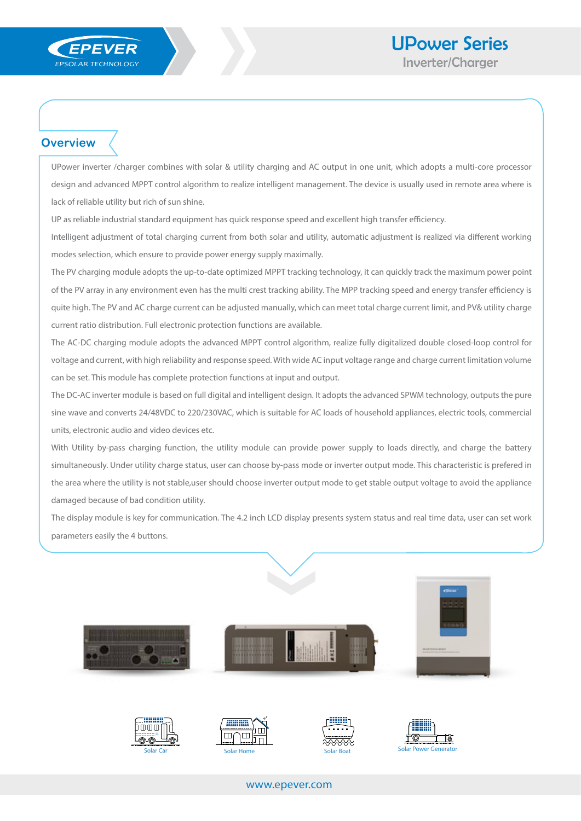

## **Overview**

UPower inverter /charger combines with solar & utility charging and AC output in one unit, which adopts a multi-core processor design and advanced MPPT control algorithm to realize intelligent management. The device is usually used in remote area where is lack of reliable utility but rich of sun shine.

UP as reliable industrial standard equipment has quick response speed and excellent high transfer efficiency.

Intelligent adjustment of total charging current from both solar and utility, automatic adjustment is realized via different working modes selection, which ensure to provide power energy supply maximally.

The PV charging module adopts the up-to-date optimized MPPT tracking technology, it can quickly track the maximum power point of the PV array in any environment even has the multi crest tracking ability. The MPP tracking speed and energy transfer efficiency is quite high. The PV and AC charge current can be adjusted manually, which can meet total charge current limit, and PV& utility charge current ratio distribution. Full electronic protection functions are available.

The AC-DC charging module adopts the advanced MPPT control algorithm, realize fully digitalized double closed-loop control for voltage and current, with high reliability and response speed. With wide AC input voltage range and charge current limitation volume can be set. This module has complete protection functions at input and output.

The DC-AC inverter module is based on full digital and intelligent design. It adopts the advanced SPWM technology, outputs the pure sine wave and converts 24/48VDC to 220/230VAC, which is suitable for AC loads of household appliances, electric tools, commercial units, electronic audio and video devices etc.

With Utility by-pass charging function, the utility module can provide power supply to loads directly, and charge the battery simultaneously. Under utility charge status, user can choose by-pass mode or inverter output mode. This characteristic is prefered in the area where the utility is not stable,user should choose inverter output mode to get stable output voltage to avoid the appliance damaged because of bad condition utility.

The display module is key for communication. The 4.2 inch LCD display presents system status and real time data, user can set work parameters easily the 4 buttons.









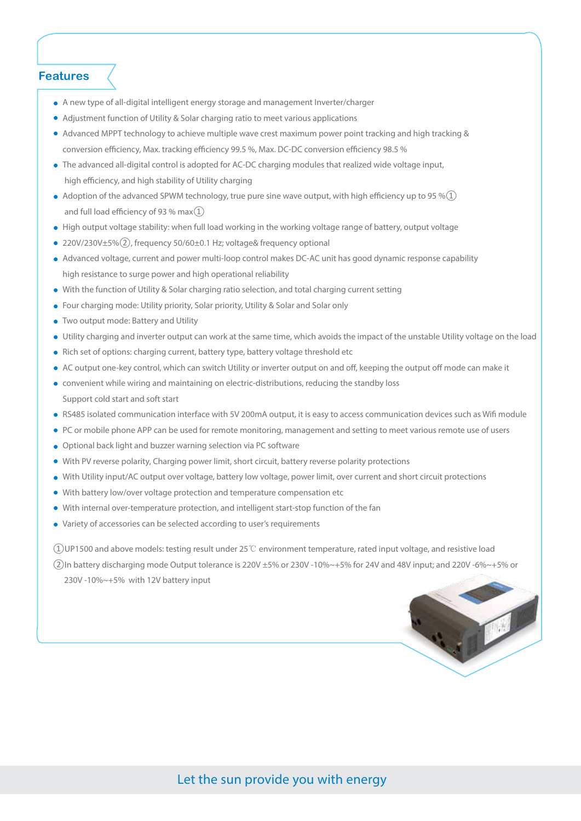#### **Features**

- A new type of all-digital intelligent energy storage and management Inverter/charger
- Adjustment function of Utility & Solar charging ratio to meet various applications
- Advanced MPPT technology to achieve multiple wave crest maximum power point tracking and high tracking & conversion efficiency, Max. tracking efficiency 99.5 %, Max. DC-DC conversion efficiency 98.5 %
- The advanced all-digital control is adopted for AC-DC charging modules that realized wide voltage input, high efficiency, and high stability of Utility charging
- $\bullet$  Adoption of the advanced SPWM technology, true pure sine wave output, with high efficiency up to 95 % $(1)$ and full load efficiency of 93 % max $(1)$
- High output voltage stability: when full load working in the working voltage range of battery, output voltage
- 220V/230V±5%(2), frequency 50/60±0.1 Hz; voltage& frequency optional
- Advanced voltage, current and power multi-loop control makes DC-AC unit has good dynamic response capability high resistance to surge power and high operational reliability
- With the function of Utility & Solar charging ratio selection, and total charging current setting
- Four charging mode: Utility priority, Solar priority, Utility & Solar and Solar only
- Two output mode: Battery and Utility
- Utility charging and inverter output can work at the same time, which avoids the impact of the unstable Utility voltage on the load
- Rich set of options: charging current, battery type, battery voltage threshold etc
- AC output one-key control, which can switch Utility or inverter output on and off, keeping the output off mode can make it
- convenient while wiring and maintaining on electric-distributions, reducing the standby loss Support cold start and soft start
- RS485 isolated communication interface with 5V 200mA output, it is easy to access communication devices such as Wifi module
- PC or mobile phone APP can be used for remote monitoring, management and setting to meet various remote use of users
- Optional back light and buzzer warning selection via PC software
- With PV reverse polarity, Charging power limit, short circuit, battery reverse polarity protections
- With Utility input/AC output over voltage, battery low voltage, power limit, over current and short circuit protections
- With battery low/over voltage protection and temperature compensation etc
- With internal over-temperature protection, and intelligent start-stop function of the fan
- Variety of accessories can be selected according to user's requirements

①UP1500 and above models: testing result under 25℃ environment temperature, rated input voltage, and resistive load ②In battery discharging mode Output tolerance is 220V ±5% or 230V -10%~+5% for 24V and 48V input; and 220V -6%~+5% or 230V -10%~+5% with 12V battery input

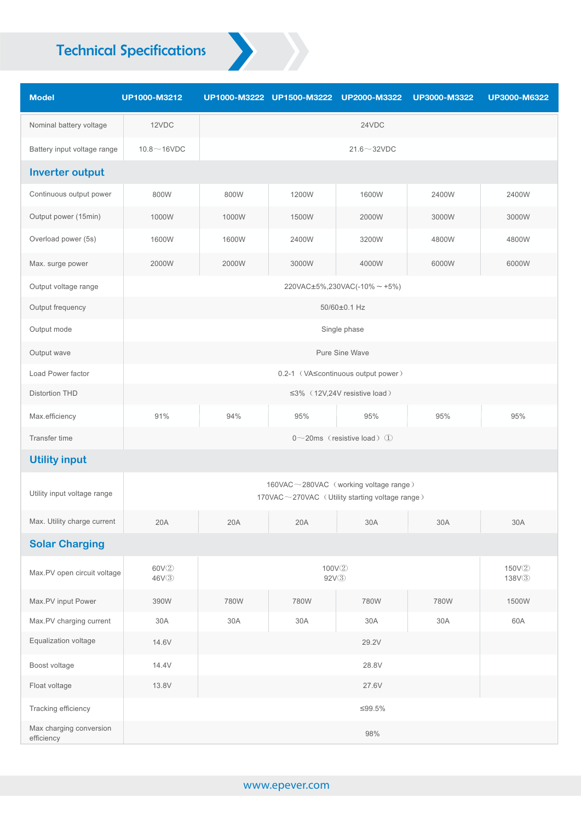# Technical Specifications

| <b>Model</b>                          | UP1000-M3212    |                                                                                         | UP1000-M3222 UP1500-M3222 UP2000-M3322 |                                                         | UP3000-M3322 | UP3000-M6322 |  |  |
|---------------------------------------|-----------------|-----------------------------------------------------------------------------------------|----------------------------------------|---------------------------------------------------------|--------------|--------------|--|--|
| Nominal battery voltage               | 12VDC           |                                                                                         |                                        | 24VDC                                                   |              |              |  |  |
| Battery input voltage range           | $10.8 - 16$ VDC | $21.6 \sim 32$ VDC                                                                      |                                        |                                                         |              |              |  |  |
| <b>Inverter output</b>                |                 |                                                                                         |                                        |                                                         |              |              |  |  |
| Continuous output power               | 800W            | 800W                                                                                    | 1200W                                  | 1600W                                                   | 2400W        | 2400W        |  |  |
| Output power (15min)                  | 1000W           | 1000W                                                                                   | 1500W                                  | 2000W                                                   | 3000W        | 3000W        |  |  |
| Overload power (5s)                   | 1600W           | 1600W                                                                                   | 2400W                                  | 3200W                                                   | 4800W        | 4800W        |  |  |
| Max. surge power                      | 2000W           | 2000W                                                                                   | 3000W                                  | 4000W                                                   | 6000W        | 6000W        |  |  |
| Output voltage range                  |                 |                                                                                         |                                        | $220\text{VAC} \pm 5\%, 230\text{VAC}(-10\% \sim +5\%)$ |              |              |  |  |
| Output frequency                      |                 |                                                                                         |                                        | 50/60±0.1 Hz                                            |              |              |  |  |
| Output mode                           |                 |                                                                                         |                                        | Single phase                                            |              |              |  |  |
| Output wave                           |                 |                                                                                         |                                        | Pure Sine Wave                                          |              |              |  |  |
| Load Power factor                     |                 | 0.2-1 (VA scontinuous output power)                                                     |                                        |                                                         |              |              |  |  |
| <b>Distortion THD</b>                 |                 |                                                                                         |                                        | ≤3% (12V,24V resistive load)                            |              |              |  |  |
| Max.efficiency                        | 91%             | 94%                                                                                     | 95%                                    | $95\%$                                                  | 95%          | $95\%$       |  |  |
| Transfer time                         |                 | $0 \sim 20$ ms (resistive load) $\textcircled{\scriptsize{1}}$                          |                                        |                                                         |              |              |  |  |
| <b>Utility input</b>                  |                 |                                                                                         |                                        |                                                         |              |              |  |  |
| Utility input voltage range           |                 | 160VAC~280VAC (working voltage range)<br>170VAC~270VAC (Utility starting voltage range) |                                        |                                                         |              |              |  |  |
| Max. Utility charge current           | 20A             | 20A<br>20A<br>30A<br>30A                                                                |                                        | 30A                                                     |              |              |  |  |
| <b>Solar Charging</b>                 |                 |                                                                                         |                                        |                                                         |              |              |  |  |
| Max.PV open circuit voltage           | 60V2<br>46V3    | 100V2<br>150V2<br>92V3<br>138V3                                                         |                                        |                                                         |              |              |  |  |
| Max.PV input Power                    | 390W            | 780W                                                                                    | 780W                                   | 780W                                                    | 780W         | 1500W        |  |  |
| Max.PV charging current               | 30A             | 30A                                                                                     | $30A$                                  | 30A                                                     | $30A$        | 60A          |  |  |
| Equalization voltage                  | 14.6V           | 29.2V                                                                                   |                                        |                                                         |              |              |  |  |
| Boost voltage                         | 14.4V           | 28.8V                                                                                   |                                        |                                                         |              |              |  |  |
| Float voltage                         | 13.8V           | 27.6V                                                                                   |                                        |                                                         |              |              |  |  |
| Tracking efficiency                   |                 | ≤99.5%                                                                                  |                                        |                                                         |              |              |  |  |
| Max charging conversion<br>efficiency |                 | 98%                                                                                     |                                        |                                                         |              |              |  |  |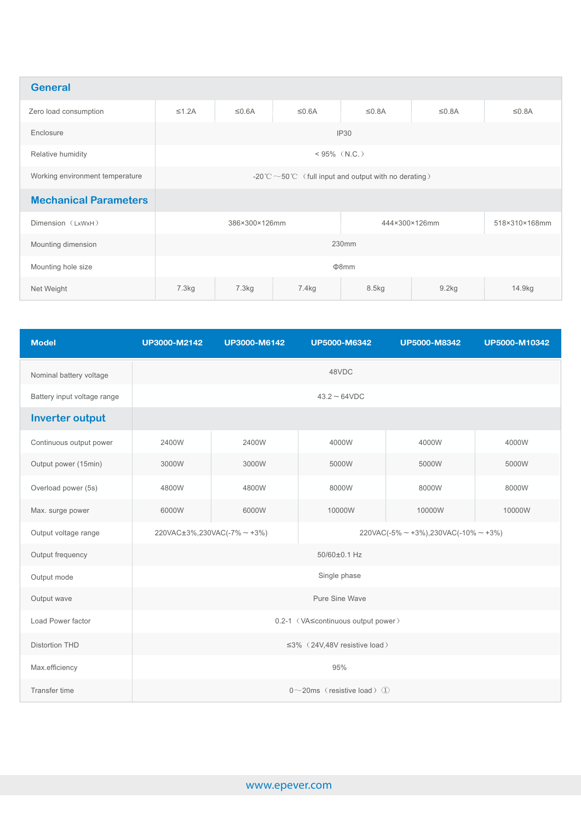| <b>General</b>                  |                                                            |             |                   |              |               |               |  |  |
|---------------------------------|------------------------------------------------------------|-------------|-------------------|--------------|---------------|---------------|--|--|
| Zero load consumption           | $\leq 1.2A$                                                | $\leq 0.6A$ | $\leq 0.6A$       | $\leq 0.8$ A | $\leq 0.8$ A  | $\leq 0.8$ A  |  |  |
| Enclosure                       | IP30                                                       |             |                   |              |               |               |  |  |
| Relative humidity               | $< 95\%$ (N.C.)                                            |             |                   |              |               |               |  |  |
| Working environment temperature | -20°C $\sim$ 50°C (full input and output with no derating) |             |                   |              |               |               |  |  |
| <b>Mechanical Parameters</b>    |                                                            |             |                   |              |               |               |  |  |
| Dimension (LxWxH)               | 386×300×126mm                                              |             |                   |              | 444×300×126mm | 518×310×168mm |  |  |
| Mounting dimension              | 230mm                                                      |             |                   |              |               |               |  |  |
| Mounting hole size              | $\Phi$ 8mm                                                 |             |                   |              |               |               |  |  |
| Net Weight                      | 7.3kg                                                      | 7.3kg       | 7.4 <sub>kg</sub> | 8.5kg        | 9.2kg         | 14.9kg        |  |  |

| <b>Model</b>                | UP3000-M2142                                                                                               | UP3000-M6142 | <b>UP5000-M6342</b> | <b>UP5000-M8342</b> | UP5000-M10342 |  |  |  |
|-----------------------------|------------------------------------------------------------------------------------------------------------|--------------|---------------------|---------------------|---------------|--|--|--|
| Nominal battery voltage     | 48VDC                                                                                                      |              |                     |                     |               |  |  |  |
| Battery input voltage range | $43.2 - 64$ VDC                                                                                            |              |                     |                     |               |  |  |  |
| <b>Inverter output</b>      |                                                                                                            |              |                     |                     |               |  |  |  |
| Continuous output power     | 2400W                                                                                                      | 2400W        | 4000W               | 4000W               | 4000W         |  |  |  |
| Output power (15min)        | 3000W                                                                                                      | 3000W        | 5000W               | 5000W               | 5000W         |  |  |  |
| Overload power (5s)         | 4800W                                                                                                      | 4800W        | 8000W               | 8000W               | 8000W         |  |  |  |
| Max. surge power            | 6000W                                                                                                      | 6000W        | 10000W              | 10000W              | 10000W        |  |  |  |
| Output voltage range        | $220VAC \pm 3\%, 230VAC(-7\% \sim +3\%)$<br>$220\text{VAC}(-5\% \sim +3\%),230\text{VAC}(-10\% \sim +3\%)$ |              |                     |                     |               |  |  |  |
| Output frequency            | 50/60±0.1 Hz                                                                                               |              |                     |                     |               |  |  |  |
| Output mode                 | Single phase                                                                                               |              |                     |                     |               |  |  |  |
| Output wave                 | Pure Sine Wave                                                                                             |              |                     |                     |               |  |  |  |
| Load Power factor           | 0.2-1 (VA≤continuous output power)                                                                         |              |                     |                     |               |  |  |  |
| <b>Distortion THD</b>       | ≤3% (24V,48V resistive load)                                                                               |              |                     |                     |               |  |  |  |
| Max.efficiency              | 95%                                                                                                        |              |                     |                     |               |  |  |  |
| Transfer time               | $0 \sim 20$ ms (resistive load) $(1)$                                                                      |              |                     |                     |               |  |  |  |